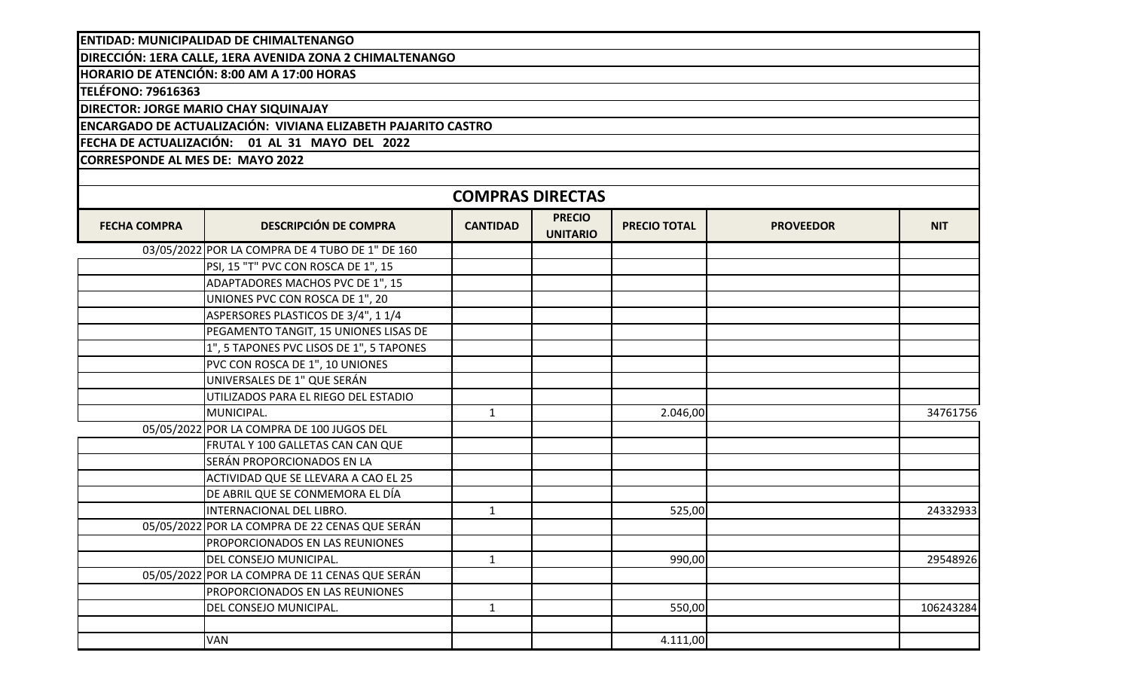**ENTIDAD: MUNICIPALIDAD DE CHIMALTENANGO**

**DIRECCIÓN: 1ERA CALLE, 1ERA AVENIDA ZONA 2 CHIMALTENANGO**

**HORARIO DE ATENCIÓN: 8:00 AM A 17:00 HORAS**

**TELÉFONO: 79616363**

**DIRECTOR: JORGE MARIO CHAY SIQUINAJAY**

**ENCARGADO DE ACTUALIZACIÓN: VIVIANA ELIZABETH PAJARITO CASTRO**

**FECHA DE ACTUALIZACIÓN: 01 AL 31 MAYO DEL 2022**

**CORRESPONDE AL MES DE: MAYO 2022**

| <b>COMPRAS DIRECTAS</b> |                                                 |                 |                                  |                     |                  |            |  |  |
|-------------------------|-------------------------------------------------|-----------------|----------------------------------|---------------------|------------------|------------|--|--|
| <b>FECHA COMPRA</b>     | <b>DESCRIPCIÓN DE COMPRA</b>                    | <b>CANTIDAD</b> | <b>PRECIO</b><br><b>UNITARIO</b> | <b>PRECIO TOTAL</b> | <b>PROVEEDOR</b> | <b>NIT</b> |  |  |
|                         | 03/05/2022 POR LA COMPRA DE 4 TUBO DE 1" DE 160 |                 |                                  |                     |                  |            |  |  |
|                         | PSI, 15 "T" PVC CON ROSCA DE 1", 15             |                 |                                  |                     |                  |            |  |  |
|                         | ADAPTADORES MACHOS PVC DE 1", 15                |                 |                                  |                     |                  |            |  |  |
|                         | UNIONES PVC CON ROSCA DE 1", 20                 |                 |                                  |                     |                  |            |  |  |
|                         | ASPERSORES PLASTICOS DE 3/4", 1 1/4             |                 |                                  |                     |                  |            |  |  |
|                         | PEGAMENTO TANGIT, 15 UNIONES LISAS DE           |                 |                                  |                     |                  |            |  |  |
|                         | 1", 5 TAPONES PVC LISOS DE 1", 5 TAPONES        |                 |                                  |                     |                  |            |  |  |
|                         | PVC CON ROSCA DE 1", 10 UNIONES                 |                 |                                  |                     |                  |            |  |  |
|                         | UNIVERSALES DE 1" QUE SERÁN                     |                 |                                  |                     |                  |            |  |  |
|                         | UTILIZADOS PARA EL RIEGO DEL ESTADIO            |                 |                                  |                     |                  |            |  |  |
|                         | MUNICIPAL.                                      | 1               |                                  | 2.046,00            |                  | 34761756   |  |  |
|                         | 05/05/2022 POR LA COMPRA DE 100 JUGOS DEL       |                 |                                  |                     |                  |            |  |  |
|                         | FRUTAL Y 100 GALLETAS CAN CAN QUE               |                 |                                  |                     |                  |            |  |  |
|                         | SERÁN PROPORCIONADOS EN LA                      |                 |                                  |                     |                  |            |  |  |
|                         | ACTIVIDAD QUE SE LLEVARA A CAO EL 25            |                 |                                  |                     |                  |            |  |  |
|                         | DE ABRIL QUE SE CONMEMORA EL DÍA                |                 |                                  |                     |                  |            |  |  |
|                         | INTERNACIONAL DEL LIBRO.                        | $\mathbf{1}$    |                                  | 525,00              |                  | 24332933   |  |  |
|                         | 05/05/2022 POR LA COMPRA DE 22 CENAS QUE SERÁN  |                 |                                  |                     |                  |            |  |  |
|                         | PROPORCIONADOS EN LAS REUNIONES                 |                 |                                  |                     |                  |            |  |  |
|                         | DEL CONSEJO MUNICIPAL.                          | $\mathbf{1}$    |                                  | 990,00              |                  | 29548926   |  |  |
|                         | 05/05/2022 POR LA COMPRA DE 11 CENAS QUE SERÁN  |                 |                                  |                     |                  |            |  |  |
|                         | <b>PROPORCIONADOS EN LAS REUNIONES</b>          |                 |                                  |                     |                  |            |  |  |
|                         | DEL CONSEJO MUNICIPAL.                          | $\mathbf{1}$    |                                  | 550,00              |                  | 106243284  |  |  |
|                         |                                                 |                 |                                  |                     |                  |            |  |  |
|                         | <b>VAN</b>                                      |                 |                                  | 4.111,00            |                  |            |  |  |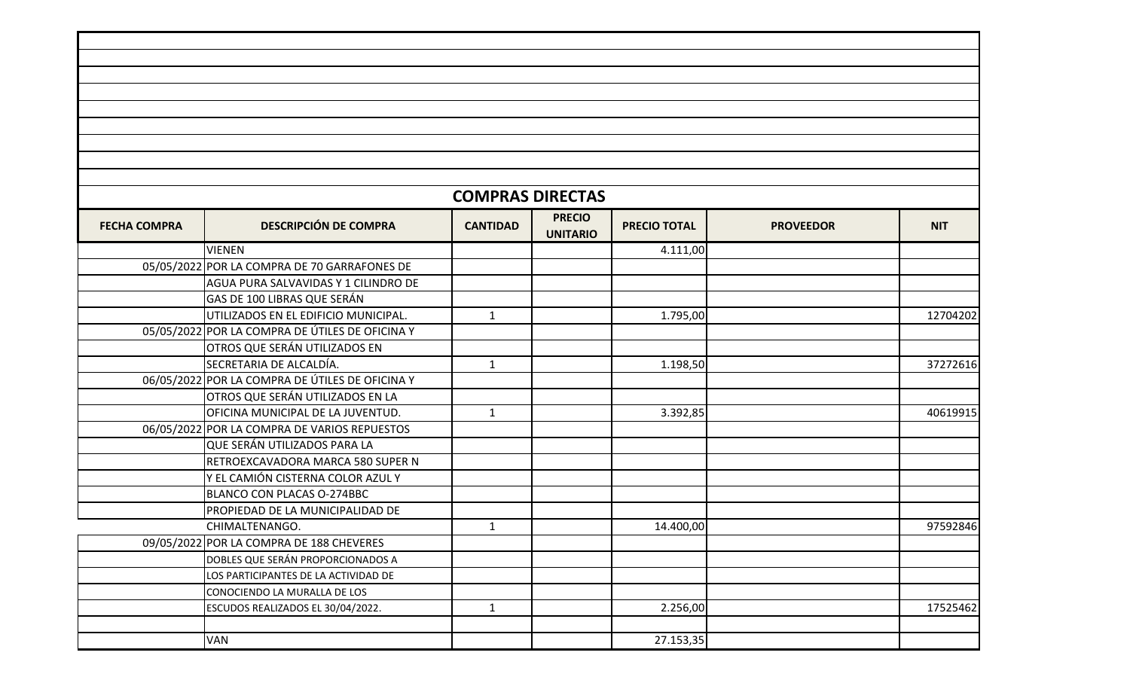|                     |                                                 | <b>COMPRAS DIRECTAS</b> |                                  |                     |                  |            |
|---------------------|-------------------------------------------------|-------------------------|----------------------------------|---------------------|------------------|------------|
| <b>FECHA COMPRA</b> | <b>DESCRIPCIÓN DE COMPRA</b>                    | <b>CANTIDAD</b>         | <b>PRECIO</b><br><b>UNITARIO</b> | <b>PRECIO TOTAL</b> | <b>PROVEEDOR</b> | <b>NIT</b> |
|                     | <b>VIENEN</b>                                   |                         |                                  | 4.111,00            |                  |            |
|                     | 05/05/2022 POR LA COMPRA DE 70 GARRAFONES DE    |                         |                                  |                     |                  |            |
|                     | AGUA PURA SALVAVIDAS Y 1 CILINDRO DE            |                         |                                  |                     |                  |            |
|                     | GAS DE 100 LIBRAS QUE SERÁN                     |                         |                                  |                     |                  |            |
|                     | UTILIZADOS EN EL EDIFICIO MUNICIPAL.            | $\mathbf{1}$            |                                  | 1.795,00            |                  | 12704202   |
|                     | 05/05/2022 POR LA COMPRA DE ÚTILES DE OFICINA Y |                         |                                  |                     |                  |            |
|                     | OTROS QUE SERÁN UTILIZADOS EN                   |                         |                                  |                     |                  |            |
|                     | SECRETARIA DE ALCALDÍA.                         | $\mathbf{1}$            |                                  | 1.198,50            |                  | 37272616   |
|                     | 06/05/2022 POR LA COMPRA DE ÚTILES DE OFICINA Y |                         |                                  |                     |                  |            |
|                     | OTROS QUE SERÁN UTILIZADOS EN LA                |                         |                                  |                     |                  |            |
|                     | OFICINA MUNICIPAL DE LA JUVENTUD.               | $\mathbf{1}$            |                                  | 3.392,85            |                  | 40619915   |
|                     | 06/05/2022 POR LA COMPRA DE VARIOS REPUESTOS    |                         |                                  |                     |                  |            |
|                     | QUE SERÁN UTILIZADOS PARA LA                    |                         |                                  |                     |                  |            |
|                     | RETROEXCAVADORA MARCA 580 SUPER N               |                         |                                  |                     |                  |            |
|                     | Y EL CAMIÓN CISTERNA COLOR AZUL Y               |                         |                                  |                     |                  |            |
|                     | BLANCO CON PLACAS O-274BBC                      |                         |                                  |                     |                  |            |
|                     | PROPIEDAD DE LA MUNICIPALIDAD DE                |                         |                                  |                     |                  |            |
|                     | CHIMALTENANGO.                                  | $\mathbf{1}$            |                                  | 14.400,00           |                  | 97592846   |
|                     | 09/05/2022 POR LA COMPRA DE 188 CHEVERES        |                         |                                  |                     |                  |            |
|                     | DOBLES QUE SERÁN PROPORCIONADOS A               |                         |                                  |                     |                  |            |
|                     | LOS PARTICIPANTES DE LA ACTIVIDAD DE            |                         |                                  |                     |                  |            |
|                     | CONOCIENDO LA MURALLA DE LOS                    |                         |                                  |                     |                  |            |
|                     | ESCUDOS REALIZADOS EL 30/04/2022.               | $\mathbf{1}$            |                                  | 2.256,00            |                  | 17525462   |
|                     |                                                 |                         |                                  |                     |                  |            |
|                     | <b>VAN</b>                                      |                         |                                  | 27.153,35           |                  |            |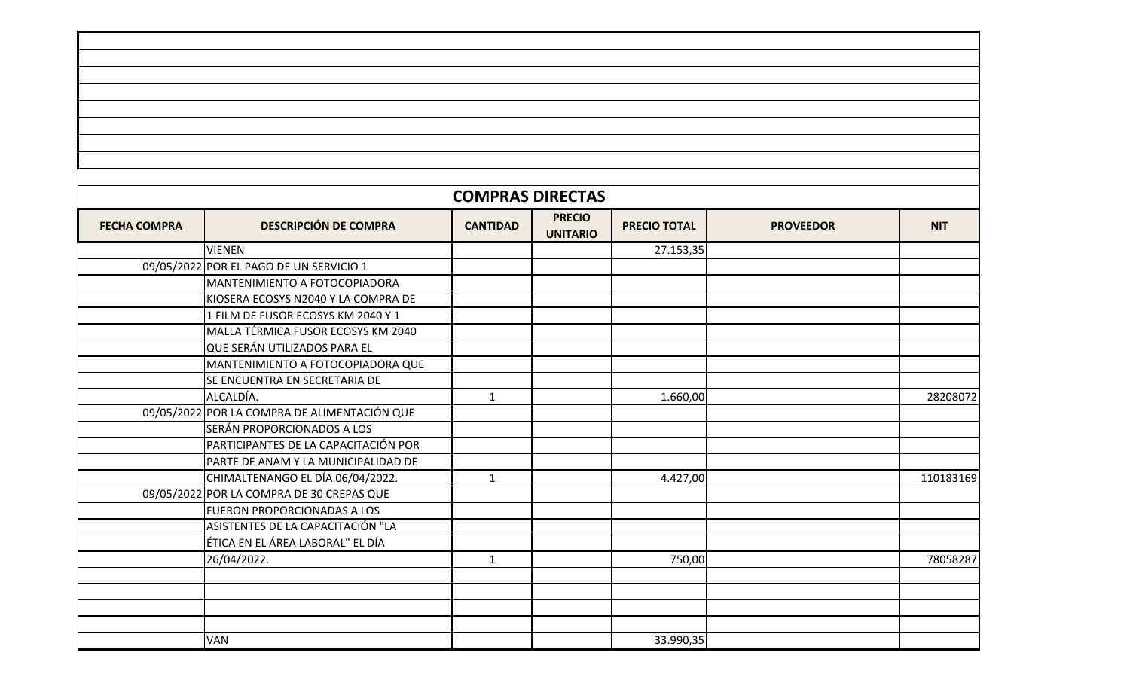|                     |                                              | <b>COMPRAS DIRECTAS</b> |                                  |                     |                  |            |
|---------------------|----------------------------------------------|-------------------------|----------------------------------|---------------------|------------------|------------|
| <b>FECHA COMPRA</b> | <b>DESCRIPCIÓN DE COMPRA</b>                 | <b>CANTIDAD</b>         | <b>PRECIO</b><br><b>UNITARIO</b> | <b>PRECIO TOTAL</b> | <b>PROVEEDOR</b> | <b>NIT</b> |
|                     | <b>VIENEN</b>                                |                         |                                  | 27.153,35           |                  |            |
|                     | 09/05/2022 POR EL PAGO DE UN SERVICIO 1      |                         |                                  |                     |                  |            |
|                     | MANTENIMIENTO A FOTOCOPIADORA                |                         |                                  |                     |                  |            |
|                     | KIOSERA ECOSYS N2040 Y LA COMPRA DE          |                         |                                  |                     |                  |            |
|                     | 1 FILM DE FUSOR ECOSYS KM 2040 Y 1           |                         |                                  |                     |                  |            |
|                     | MALLA TÉRMICA FUSOR ECOSYS KM 2040           |                         |                                  |                     |                  |            |
|                     | QUE SERÁN UTILIZADOS PARA EL                 |                         |                                  |                     |                  |            |
|                     | MANTENIMIENTO A FOTOCOPIADORA QUE            |                         |                                  |                     |                  |            |
|                     | SE ENCUENTRA EN SECRETARIA DE                |                         |                                  |                     |                  |            |
|                     | ALCALDÍA.                                    | $\mathbf{1}$            |                                  | 1.660,00            |                  | 28208072   |
|                     | 09/05/2022 POR LA COMPRA DE ALIMENTACIÓN QUE |                         |                                  |                     |                  |            |
|                     | SERÁN PROPORCIONADOS A LOS                   |                         |                                  |                     |                  |            |
|                     | PARTICIPANTES DE LA CAPACITACIÓN POR         |                         |                                  |                     |                  |            |
|                     | PARTE DE ANAM Y LA MUNICIPALIDAD DE          |                         |                                  |                     |                  |            |
|                     | CHIMALTENANGO EL DÍA 06/04/2022.             | $\mathbf{1}$            |                                  | 4.427,00            |                  | 110183169  |
|                     | 09/05/2022 POR LA COMPRA DE 30 CREPAS QUE    |                         |                                  |                     |                  |            |
|                     | <b>FUERON PROPORCIONADAS A LOS</b>           |                         |                                  |                     |                  |            |
|                     | ASISTENTES DE LA CAPACITACIÓN "LA            |                         |                                  |                     |                  |            |
|                     | ÉTICA EN EL ÁREA LABORAL" EL DÍA             |                         |                                  |                     |                  |            |
|                     | 26/04/2022.                                  | $\mathbf{1}$            |                                  | 750,00              |                  | 78058287   |
|                     |                                              |                         |                                  |                     |                  |            |
|                     |                                              |                         |                                  |                     |                  |            |
|                     |                                              |                         |                                  |                     |                  |            |
|                     |                                              |                         |                                  |                     |                  |            |
|                     | <b>VAN</b>                                   |                         |                                  | 33.990,35           |                  |            |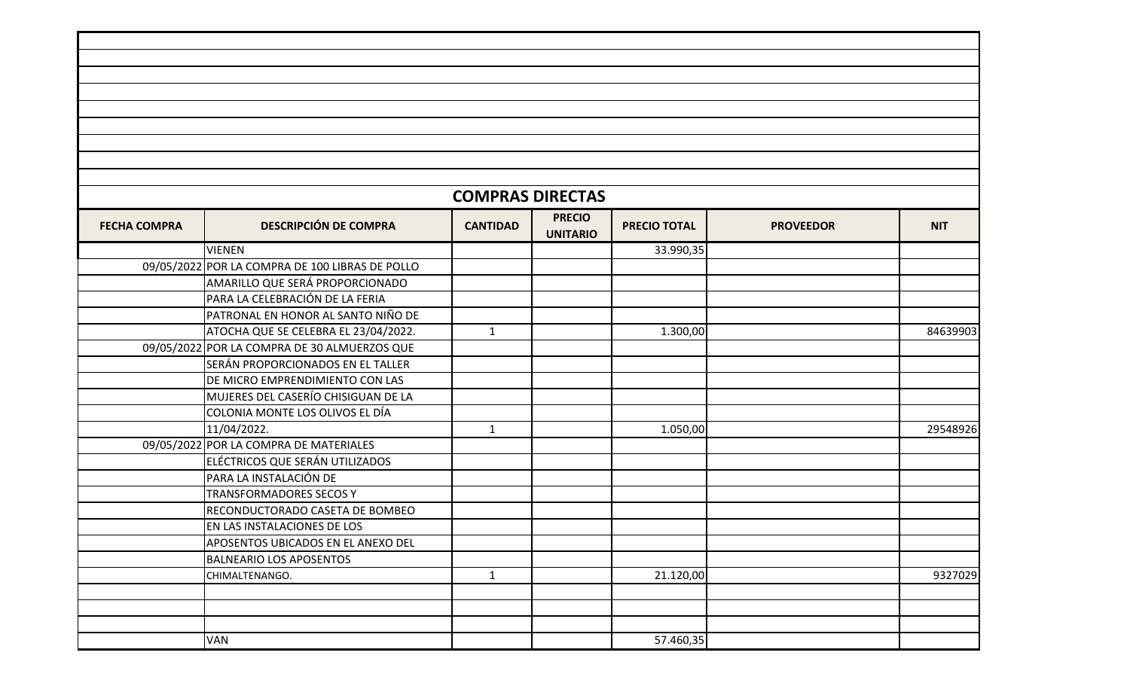|                     |                                                 | <b>COMPRAS DIRECTAS</b> |                                  |                     |                  |            |
|---------------------|-------------------------------------------------|-------------------------|----------------------------------|---------------------|------------------|------------|
| <b>FECHA COMPRA</b> | <b>DESCRIPCIÓN DE COMPRA</b>                    | <b>CANTIDAD</b>         | <b>PRECIO</b><br><b>UNITARIO</b> | <b>PRECIO TOTAL</b> | <b>PROVEEDOR</b> | <b>NIT</b> |
|                     | <b>VIENEN</b>                                   |                         |                                  | 33.990,35           |                  |            |
|                     | 09/05/2022 POR LA COMPRA DE 100 LIBRAS DE POLLO |                         |                                  |                     |                  |            |
|                     | AMARILLO QUE SERÁ PROPORCIONADO                 |                         |                                  |                     |                  |            |
|                     | PARA LA CELEBRACIÓN DE LA FERIA                 |                         |                                  |                     |                  |            |
|                     | PATRONAL EN HONOR AL SANTO NIÑO DE              |                         |                                  |                     |                  |            |
|                     | ATOCHA QUE SE CELEBRA EL 23/04/2022.            | $\mathbf{1}$            |                                  | 1.300,00            |                  | 84639903   |
|                     | 09/05/2022 POR LA COMPRA DE 30 ALMUERZOS QUE    |                         |                                  |                     |                  |            |
|                     | SERÁN PROPORCIONADOS EN EL TALLER               |                         |                                  |                     |                  |            |
|                     | DE MICRO EMPRENDIMIENTO CON LAS                 |                         |                                  |                     |                  |            |
|                     | MUJERES DEL CASERÍO CHISIGUAN DE LA             |                         |                                  |                     |                  |            |
|                     | COLONIA MONTE LOS OLIVOS EL DÍA                 |                         |                                  |                     |                  |            |
|                     | 11/04/2022.                                     | $\mathbf{1}$            |                                  | 1.050,00            |                  | 29548926   |
|                     | 09/05/2022 POR LA COMPRA DE MATERIALES          |                         |                                  |                     |                  |            |
|                     | ELÉCTRICOS QUE SERÁN UTILIZADOS                 |                         |                                  |                     |                  |            |
|                     | PARA LA INSTALACIÓN DE                          |                         |                                  |                     |                  |            |
|                     | TRANSFORMADORES SECOS Y                         |                         |                                  |                     |                  |            |
|                     | RECONDUCTORADO CASETA DE BOMBEO                 |                         |                                  |                     |                  |            |
|                     | EN LAS INSTALACIONES DE LOS                     |                         |                                  |                     |                  |            |
|                     | APOSENTOS UBICADOS EN EL ANEXO DEL              |                         |                                  |                     |                  |            |
|                     | <b>BALNEARIO LOS APOSENTOS</b>                  |                         |                                  |                     |                  |            |
|                     | CHIMALTENANGO.                                  | $\mathbf{1}$            |                                  | 21.120,00           |                  | 9327029    |
|                     |                                                 |                         |                                  |                     |                  |            |
|                     |                                                 |                         |                                  |                     |                  |            |
|                     |                                                 |                         |                                  |                     |                  |            |
|                     | VAN                                             |                         |                                  | 57.460,35           |                  |            |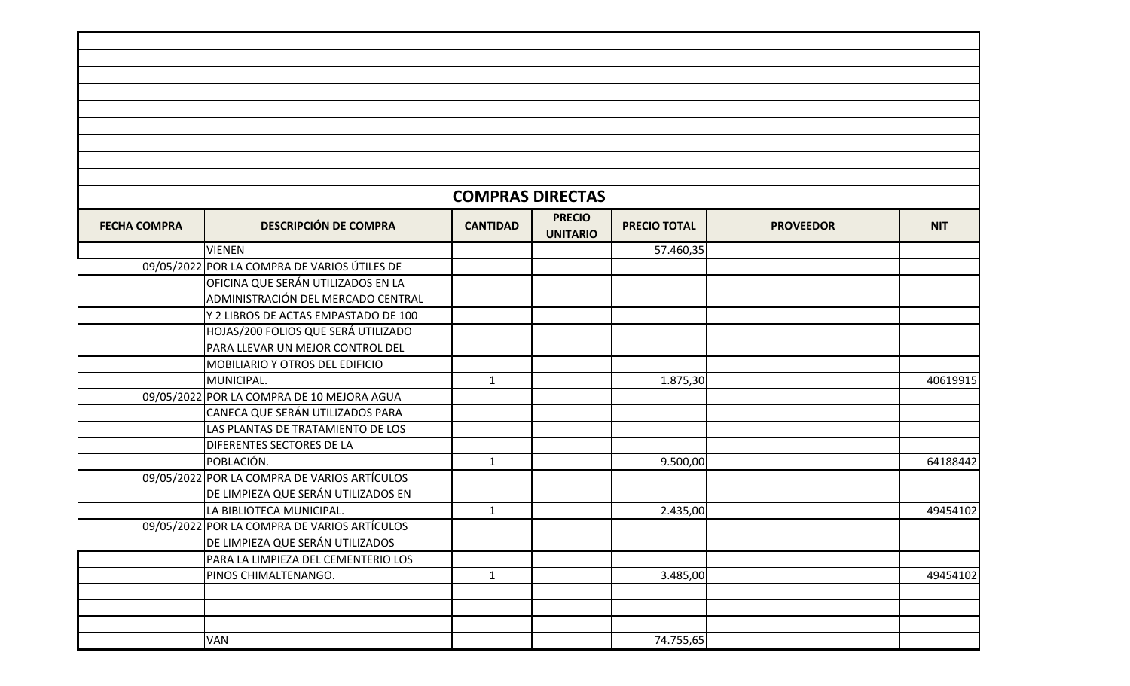|                     |                                              | <b>COMPRAS DIRECTAS</b> |                                  |                     |                  |            |
|---------------------|----------------------------------------------|-------------------------|----------------------------------|---------------------|------------------|------------|
| <b>FECHA COMPRA</b> | <b>DESCRIPCIÓN DE COMPRA</b>                 | <b>CANTIDAD</b>         | <b>PRECIO</b><br><b>UNITARIO</b> | <b>PRECIO TOTAL</b> | <b>PROVEEDOR</b> | <b>NIT</b> |
|                     | <b>VIENEN</b>                                |                         |                                  | 57.460,35           |                  |            |
|                     | 09/05/2022 POR LA COMPRA DE VARIOS ÚTILES DE |                         |                                  |                     |                  |            |
|                     | OFICINA QUE SERÁN UTILIZADOS EN LA           |                         |                                  |                     |                  |            |
|                     | ADMINISTRACIÓN DEL MERCADO CENTRAL           |                         |                                  |                     |                  |            |
|                     | Y 2 LIBROS DE ACTAS EMPASTADO DE 100         |                         |                                  |                     |                  |            |
|                     | HOJAS/200 FOLIOS QUE SERÁ UTILIZADO          |                         |                                  |                     |                  |            |
|                     | PARA LLEVAR UN MEJOR CONTROL DEL             |                         |                                  |                     |                  |            |
|                     | <b>MOBILIARIO Y OTROS DEL EDIFICIO</b>       |                         |                                  |                     |                  |            |
|                     | MUNICIPAL.                                   | $\mathbf{1}$            |                                  | 1.875,30            |                  | 40619915   |
|                     | 09/05/2022 POR LA COMPRA DE 10 MEJORA AGUA   |                         |                                  |                     |                  |            |
|                     | CANECA QUE SERÁN UTILIZADOS PARA             |                         |                                  |                     |                  |            |
|                     | LAS PLANTAS DE TRATAMIENTO DE LOS            |                         |                                  |                     |                  |            |
|                     | DIFERENTES SECTORES DE LA                    |                         |                                  |                     |                  |            |
|                     | POBLACIÓN.                                   | $\mathbf{1}$            |                                  | 9.500,00            |                  | 64188442   |
|                     | 09/05/2022 POR LA COMPRA DE VARIOS ARTÍCULOS |                         |                                  |                     |                  |            |
|                     | DE LIMPIEZA QUE SERÁN UTILIZADOS EN          |                         |                                  |                     |                  |            |
|                     | LA BIBLIOTECA MUNICIPAL.                     | $\mathbf{1}$            |                                  | 2.435,00            |                  | 49454102   |
|                     | 09/05/2022 POR LA COMPRA DE VARIOS ARTÍCULOS |                         |                                  |                     |                  |            |
|                     | DE LIMPIEZA QUE SERÁN UTILIZADOS             |                         |                                  |                     |                  |            |
|                     | PARA LA LIMPIEZA DEL CEMENTERIO LOS          |                         |                                  |                     |                  |            |
|                     | PINOS CHIMALTENANGO.                         | $\mathbf{1}$            |                                  | 3.485,00            |                  | 49454102   |
|                     |                                              |                         |                                  |                     |                  |            |
|                     |                                              |                         |                                  |                     |                  |            |
|                     |                                              |                         |                                  |                     |                  |            |
|                     | VAN                                          |                         |                                  | 74.755,65           |                  |            |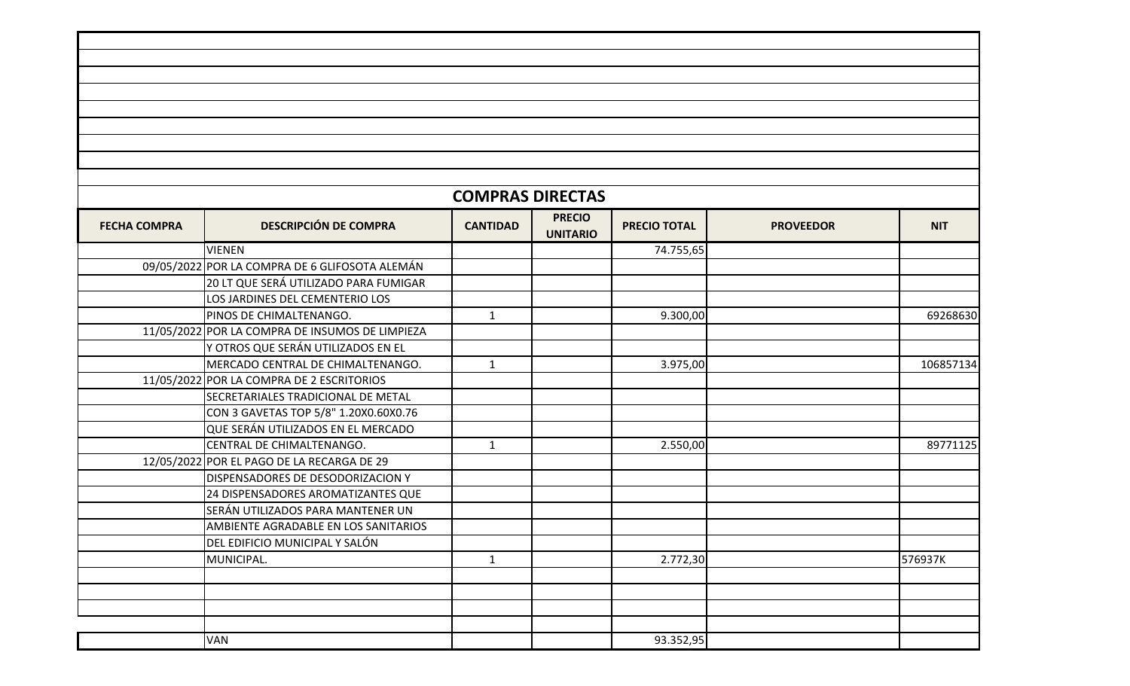|                     |                                                 | <b>COMPRAS DIRECTAS</b> |                                  |                     |                  |            |
|---------------------|-------------------------------------------------|-------------------------|----------------------------------|---------------------|------------------|------------|
| <b>FECHA COMPRA</b> | <b>DESCRIPCIÓN DE COMPRA</b>                    | <b>CANTIDAD</b>         | <b>PRECIO</b><br><b>UNITARIO</b> | <b>PRECIO TOTAL</b> | <b>PROVEEDOR</b> | <b>NIT</b> |
|                     | <b>VIENEN</b>                                   |                         |                                  | 74.755,65           |                  |            |
|                     | 09/05/2022 POR LA COMPRA DE 6 GLIFOSOTA ALEMÁN  |                         |                                  |                     |                  |            |
|                     | 20 LT QUE SERÁ UTILIZADO PARA FUMIGAR           |                         |                                  |                     |                  |            |
|                     | LOS JARDINES DEL CEMENTERIO LOS                 |                         |                                  |                     |                  |            |
|                     | PINOS DE CHIMALTENANGO.                         | $\mathbf{1}$            |                                  | 9.300,00            |                  | 69268630   |
|                     | 11/05/2022 POR LA COMPRA DE INSUMOS DE LIMPIEZA |                         |                                  |                     |                  |            |
|                     | Y OTROS QUE SERÁN UTILIZADOS EN EL              |                         |                                  |                     |                  |            |
|                     | MERCADO CENTRAL DE CHIMALTENANGO.               | $\mathbf{1}$            |                                  | 3.975,00            |                  | 106857134  |
|                     | 11/05/2022 POR LA COMPRA DE 2 ESCRITORIOS       |                         |                                  |                     |                  |            |
|                     | SECRETARIALES TRADICIONAL DE METAL              |                         |                                  |                     |                  |            |
|                     | CON 3 GAVETAS TOP 5/8" 1.20X0.60X0.76           |                         |                                  |                     |                  |            |
|                     | QUE SERÁN UTILIZADOS EN EL MERCADO              |                         |                                  |                     |                  |            |
|                     | CENTRAL DE CHIMALTENANGO.                       | $\mathbf{1}$            |                                  | 2.550,00            |                  | 89771125   |
|                     | 12/05/2022 POR EL PAGO DE LA RECARGA DE 29      |                         |                                  |                     |                  |            |
|                     | DISPENSADORES DE DESODORIZACION Y               |                         |                                  |                     |                  |            |
|                     | 24 DISPENSADORES AROMATIZANTES QUE              |                         |                                  |                     |                  |            |
|                     | SERÁN UTILIZADOS PARA MANTENER UN               |                         |                                  |                     |                  |            |
|                     | AMBIENTE AGRADABLE EN LOS SANITARIOS            |                         |                                  |                     |                  |            |
|                     | DEL EDIFICIO MUNICIPAL Y SALÓN                  |                         |                                  |                     |                  |            |
|                     | MUNICIPAL.                                      | $\mathbf 1$             |                                  | 2.772,30            |                  | 576937K    |
|                     |                                                 |                         |                                  |                     |                  |            |
|                     |                                                 |                         |                                  |                     |                  |            |
|                     |                                                 |                         |                                  |                     |                  |            |
|                     |                                                 |                         |                                  |                     |                  |            |
|                     | VAN                                             |                         |                                  | 93.352,95           |                  |            |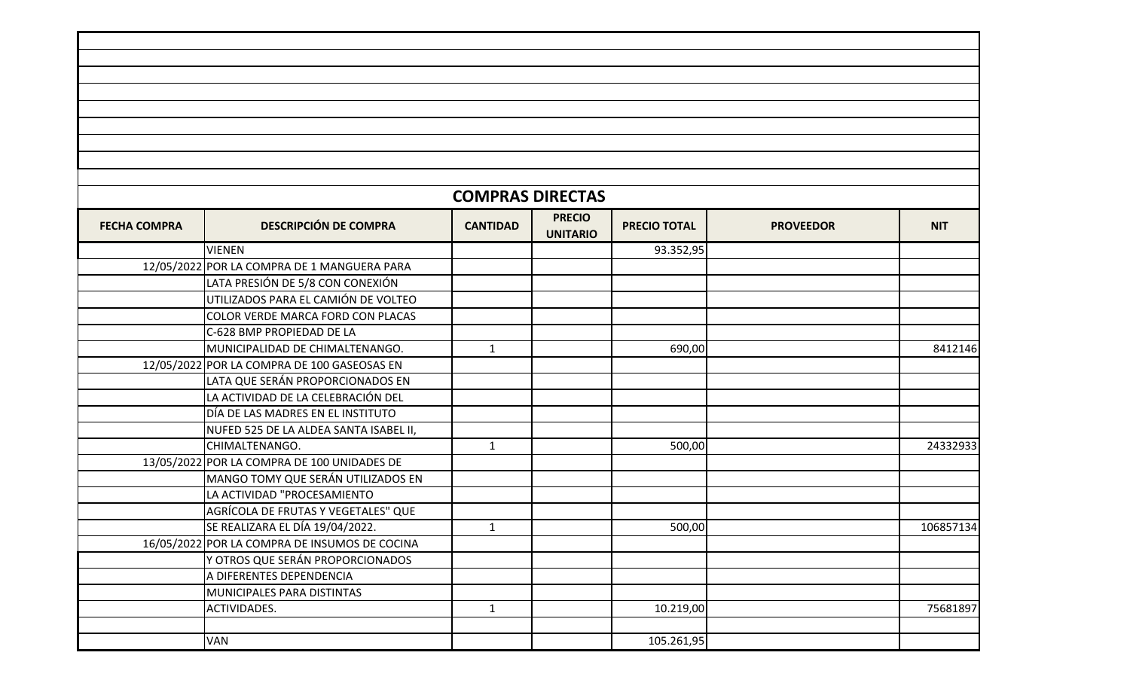|                     |                                               | <b>COMPRAS DIRECTAS</b> |                                  |                     |                  |            |
|---------------------|-----------------------------------------------|-------------------------|----------------------------------|---------------------|------------------|------------|
| <b>FECHA COMPRA</b> | <b>DESCRIPCIÓN DE COMPRA</b>                  | <b>CANTIDAD</b>         | <b>PRECIO</b><br><b>UNITARIO</b> | <b>PRECIO TOTAL</b> | <b>PROVEEDOR</b> | <b>NIT</b> |
|                     | <b>VIENEN</b>                                 |                         |                                  | 93.352,95           |                  |            |
|                     | 12/05/2022 POR LA COMPRA DE 1 MANGUERA PARA   |                         |                                  |                     |                  |            |
|                     | LATA PRESIÓN DE 5/8 CON CONEXIÓN              |                         |                                  |                     |                  |            |
|                     | UTILIZADOS PARA EL CAMIÓN DE VOLTEO           |                         |                                  |                     |                  |            |
|                     | COLOR VERDE MARCA FORD CON PLACAS             |                         |                                  |                     |                  |            |
|                     | C-628 BMP PROPIEDAD DE LA                     |                         |                                  |                     |                  |            |
|                     | MUNICIPALIDAD DE CHIMALTENANGO.               | $\mathbf{1}$            |                                  | 690,00              |                  | 8412146    |
|                     | 12/05/2022 POR LA COMPRA DE 100 GASEOSAS EN   |                         |                                  |                     |                  |            |
|                     | LATA QUE SERÁN PROPORCIONADOS EN              |                         |                                  |                     |                  |            |
|                     | LA ACTIVIDAD DE LA CELEBRACIÓN DEL            |                         |                                  |                     |                  |            |
|                     | DÍA DE LAS MADRES EN EL INSTITUTO             |                         |                                  |                     |                  |            |
|                     | NUFED 525 DE LA ALDEA SANTA ISABEL II,        |                         |                                  |                     |                  |            |
|                     | CHIMALTENANGO.                                | $\mathbf{1}$            |                                  | 500,00              |                  | 24332933   |
|                     | 13/05/2022 POR LA COMPRA DE 100 UNIDADES DE   |                         |                                  |                     |                  |            |
|                     | MANGO TOMY QUE SERÁN UTILIZADOS EN            |                         |                                  |                     |                  |            |
|                     | LA ACTIVIDAD "PROCESAMIENTO                   |                         |                                  |                     |                  |            |
|                     | AGRÍCOLA DE FRUTAS Y VEGETALES" QUE           |                         |                                  |                     |                  |            |
|                     | SE REALIZARA EL DÍA 19/04/2022.               | $\mathbf{1}$            |                                  | 500,00              |                  | 106857134  |
|                     | 16/05/2022 POR LA COMPRA DE INSUMOS DE COCINA |                         |                                  |                     |                  |            |
|                     | Y OTROS QUE SERÁN PROPORCIONADOS              |                         |                                  |                     |                  |            |
|                     | A DIFERENTES DEPENDENCIA                      |                         |                                  |                     |                  |            |
|                     | MUNICIPALES PARA DISTINTAS                    |                         |                                  |                     |                  |            |
|                     | ACTIVIDADES.                                  | $\mathbf{1}$            |                                  | 10.219,00           |                  | 75681897   |
|                     |                                               |                         |                                  |                     |                  |            |
|                     | VAN                                           |                         |                                  | 105.261,95          |                  |            |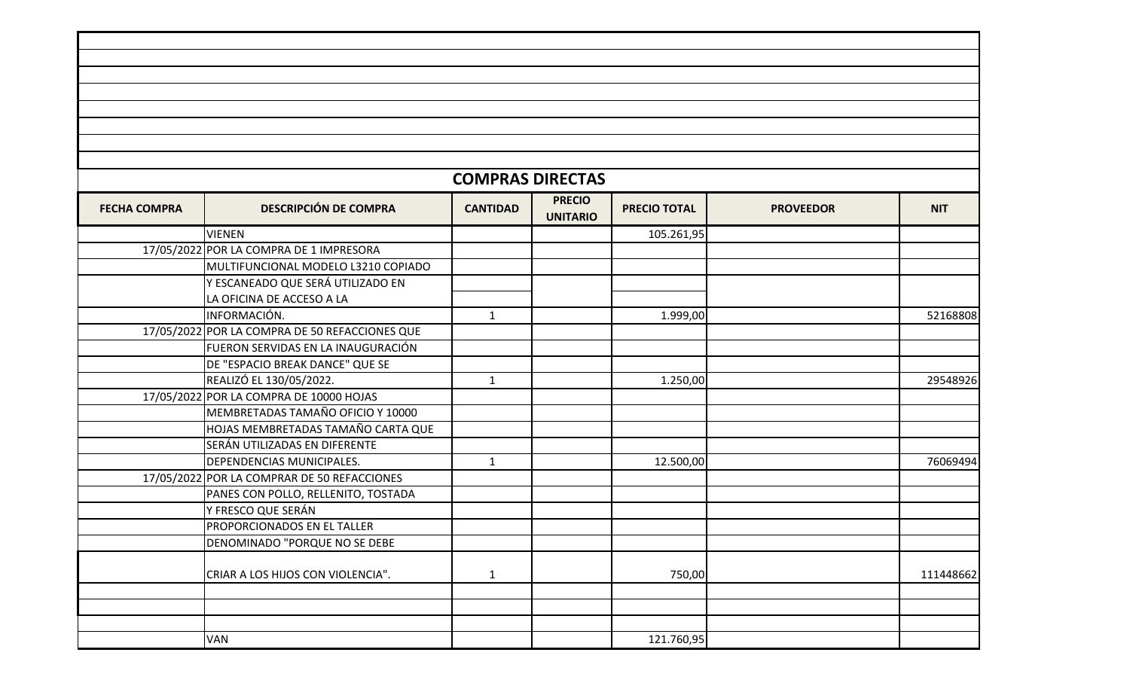|                     |                                                | <b>COMPRAS DIRECTAS</b> |                                  |                     |                  |            |
|---------------------|------------------------------------------------|-------------------------|----------------------------------|---------------------|------------------|------------|
| <b>FECHA COMPRA</b> | <b>DESCRIPCIÓN DE COMPRA</b>                   | <b>CANTIDAD</b>         | <b>PRECIO</b><br><b>UNITARIO</b> | <b>PRECIO TOTAL</b> | <b>PROVEEDOR</b> | <b>NIT</b> |
|                     | <b>VIENEN</b>                                  |                         |                                  | 105.261,95          |                  |            |
|                     | 17/05/2022 POR LA COMPRA DE 1 IMPRESORA        |                         |                                  |                     |                  |            |
|                     | MULTIFUNCIONAL MODELO L3210 COPIADO            |                         |                                  |                     |                  |            |
|                     | Y ESCANEADO QUE SERÁ UTILIZADO EN              |                         |                                  |                     |                  |            |
|                     | LA OFICINA DE ACCESO A LA                      |                         |                                  |                     |                  |            |
|                     | INFORMACIÓN.                                   | $\mathbf{1}$            |                                  | 1.999,00            |                  | 52168808   |
|                     | 17/05/2022 POR LA COMPRA DE 50 REFACCIONES QUE |                         |                                  |                     |                  |            |
|                     | FUERON SERVIDAS EN LA INAUGURACIÓN             |                         |                                  |                     |                  |            |
|                     | DE "ESPACIO BREAK DANCE" QUE SE                |                         |                                  |                     |                  |            |
|                     | REALIZÓ EL 130/05/2022.                        | $\mathbf{1}$            |                                  | 1.250,00            |                  | 29548926   |
|                     | 17/05/2022 POR LA COMPRA DE 10000 HOJAS        |                         |                                  |                     |                  |            |
|                     | MEMBRETADAS TAMAÑO OFICIO Y 10000              |                         |                                  |                     |                  |            |
|                     | HOJAS MEMBRETADAS TAMAÑO CARTA QUE             |                         |                                  |                     |                  |            |
|                     | SERÁN UTILIZADAS EN DIFERENTE                  |                         |                                  |                     |                  |            |
|                     | DEPENDENCIAS MUNICIPALES.                      | $\mathbf{1}$            |                                  | 12.500,00           |                  | 76069494   |
|                     | 17/05/2022 POR LA COMPRAR DE 50 REFACCIONES    |                         |                                  |                     |                  |            |
|                     | PANES CON POLLO, RELLENITO, TOSTADA            |                         |                                  |                     |                  |            |
|                     | Y FRESCO QUE SERÁN                             |                         |                                  |                     |                  |            |
|                     | PROPORCIONADOS EN EL TALLER                    |                         |                                  |                     |                  |            |
|                     | DENOMINADO "PORQUE NO SE DEBE                  |                         |                                  |                     |                  |            |
|                     |                                                |                         |                                  |                     |                  |            |
|                     | CRIAR A LOS HIJOS CON VIOLENCIA".              | $\mathbf{1}$            |                                  | 750,00              |                  | 111448662  |
|                     |                                                |                         |                                  |                     |                  |            |
|                     |                                                |                         |                                  |                     |                  |            |
|                     |                                                |                         |                                  |                     |                  |            |
|                     | VAN                                            |                         |                                  | 121.760,95          |                  |            |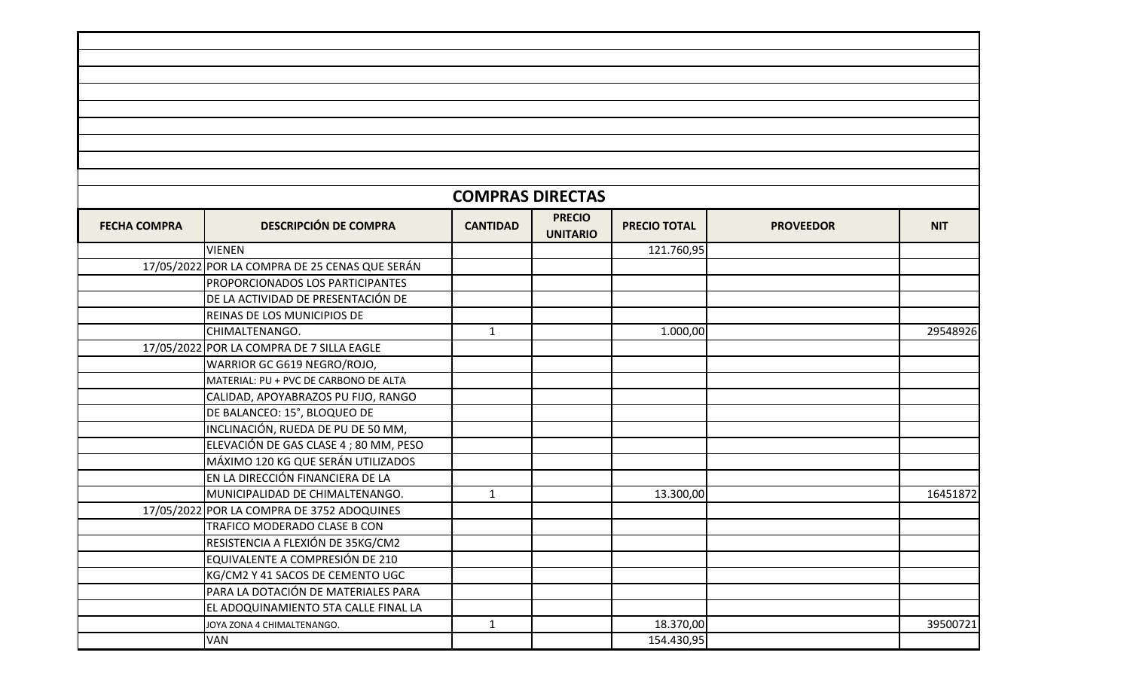|                     |                                                | <b>COMPRAS DIRECTAS</b> |                                  |                     |                  |            |
|---------------------|------------------------------------------------|-------------------------|----------------------------------|---------------------|------------------|------------|
| <b>FECHA COMPRA</b> | <b>DESCRIPCIÓN DE COMPRA</b>                   | <b>CANTIDAD</b>         | <b>PRECIO</b><br><b>UNITARIO</b> | <b>PRECIO TOTAL</b> | <b>PROVEEDOR</b> | <b>NIT</b> |
|                     | <b>VIENEN</b>                                  |                         |                                  | 121.760,95          |                  |            |
|                     | 17/05/2022 POR LA COMPRA DE 25 CENAS QUE SERÁN |                         |                                  |                     |                  |            |
|                     | PROPORCIONADOS LOS PARTICIPANTES               |                         |                                  |                     |                  |            |
|                     | DE LA ACTIVIDAD DE PRESENTACIÓN DE             |                         |                                  |                     |                  |            |
|                     | <b>REINAS DE LOS MUNICIPIOS DE</b>             |                         |                                  |                     |                  |            |
|                     | CHIMALTENANGO.                                 | $\mathbf{1}$            |                                  | 1.000,00            |                  | 29548926   |
|                     | 17/05/2022 POR LA COMPRA DE 7 SILLA EAGLE      |                         |                                  |                     |                  |            |
|                     | WARRIOR GC G619 NEGRO/ROJO,                    |                         |                                  |                     |                  |            |
|                     | MATERIAL: PU + PVC DE CARBONO DE ALTA          |                         |                                  |                     |                  |            |
|                     | CALIDAD, APOYABRAZOS PU FIJO, RANGO            |                         |                                  |                     |                  |            |
|                     | DE BALANCEO: 15°, BLOQUEO DE                   |                         |                                  |                     |                  |            |
|                     | INCLINACIÓN, RUEDA DE PU DE 50 MM,             |                         |                                  |                     |                  |            |
|                     | ELEVACIÓN DE GAS CLASE 4 ; 80 MM, PESO         |                         |                                  |                     |                  |            |
|                     | MÁXIMO 120 KG QUE SERÁN UTILIZADOS             |                         |                                  |                     |                  |            |
|                     | EN LA DIRECCIÓN FINANCIERA DE LA               |                         |                                  |                     |                  |            |
|                     | MUNICIPALIDAD DE CHIMALTENANGO.                | $\mathbf{1}$            |                                  | 13.300,00           |                  | 16451872   |
|                     | 17/05/2022 POR LA COMPRA DE 3752 ADOQUINES     |                         |                                  |                     |                  |            |
|                     | TRAFICO MODERADO CLASE B CON                   |                         |                                  |                     |                  |            |
|                     | RESISTENCIA A FLEXIÓN DE 35KG/CM2              |                         |                                  |                     |                  |            |
|                     | EQUIVALENTE A COMPRESIÓN DE 210                |                         |                                  |                     |                  |            |
|                     | KG/CM2 Y 41 SACOS DE CEMENTO UGC               |                         |                                  |                     |                  |            |
|                     | PARA LA DOTACIÓN DE MATERIALES PARA            |                         |                                  |                     |                  |            |
|                     | EL ADOQUINAMIENTO 5TA CALLE FINAL LA           |                         |                                  |                     |                  |            |
|                     | JOYA ZONA 4 CHIMALTENANGO.                     | $\mathbf{1}$            |                                  | 18.370,00           |                  | 39500721   |
|                     | <b>VAN</b>                                     |                         |                                  | 154.430,95          |                  |            |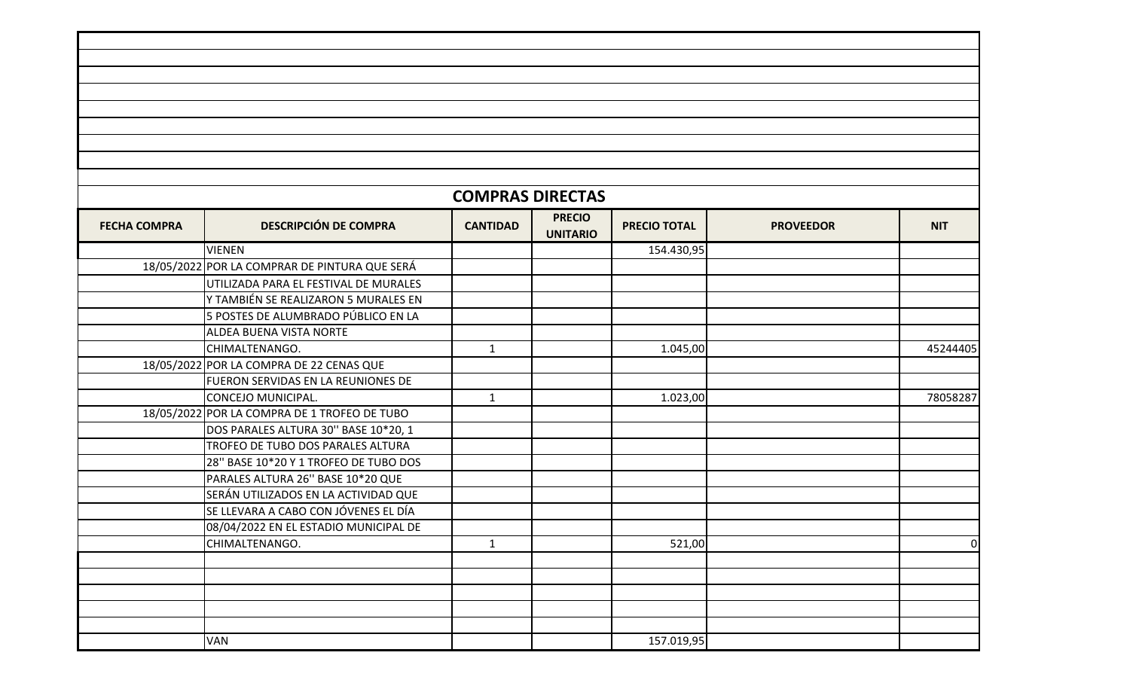|                     |                                               | <b>COMPRAS DIRECTAS</b> |                 |                     |                  |            |
|---------------------|-----------------------------------------------|-------------------------|-----------------|---------------------|------------------|------------|
| <b>FECHA COMPRA</b> | <b>DESCRIPCIÓN DE COMPRA</b>                  |                         | <b>PRECIO</b>   | <b>PRECIO TOTAL</b> |                  | <b>NIT</b> |
|                     |                                               | <b>CANTIDAD</b>         | <b>UNITARIO</b> |                     | <b>PROVEEDOR</b> |            |
|                     | <b>VIENEN</b>                                 |                         |                 | 154.430,95          |                  |            |
|                     | 18/05/2022 POR LA COMPRAR DE PINTURA QUE SERÁ |                         |                 |                     |                  |            |
|                     | UTILIZADA PARA EL FESTIVAL DE MURALES         |                         |                 |                     |                  |            |
|                     | Y TAMBIÉN SE REALIZARON 5 MURALES EN          |                         |                 |                     |                  |            |
|                     | 5 POSTES DE ALUMBRADO PÚBLICO EN LA           |                         |                 |                     |                  |            |
|                     | ALDEA BUENA VISTA NORTE                       |                         |                 |                     |                  |            |
|                     | CHIMALTENANGO.                                | $\mathbf{1}$            |                 | 1.045,00            |                  | 45244405   |
|                     | 18/05/2022 POR LA COMPRA DE 22 CENAS QUE      |                         |                 |                     |                  |            |
|                     | FUERON SERVIDAS EN LA REUNIONES DE            |                         |                 |                     |                  |            |
|                     | CONCEJO MUNICIPAL.                            | $\mathbf{1}$            |                 | 1.023,00            |                  | 78058287   |
|                     | 18/05/2022 POR LA COMPRA DE 1 TROFEO DE TUBO  |                         |                 |                     |                  |            |
|                     | DOS PARALES ALTURA 30" BASE 10*20, 1          |                         |                 |                     |                  |            |
|                     | TROFEO DE TUBO DOS PARALES ALTURA             |                         |                 |                     |                  |            |
|                     | 28" BASE 10*20 Y 1 TROFEO DE TUBO DOS         |                         |                 |                     |                  |            |
|                     | PARALES ALTURA 26" BASE 10*20 QUE             |                         |                 |                     |                  |            |
|                     | SERÁN UTILIZADOS EN LA ACTIVIDAD QUE          |                         |                 |                     |                  |            |
|                     | SE LLEVARA A CABO CON JÓVENES EL DÍA          |                         |                 |                     |                  |            |
|                     | 08/04/2022 EN EL ESTADIO MUNICIPAL DE         |                         |                 |                     |                  |            |
|                     | CHIMALTENANGO.                                | $\mathbf{1}$            |                 | 521,00              |                  | νı         |
|                     |                                               |                         |                 |                     |                  |            |
|                     |                                               |                         |                 |                     |                  |            |
|                     |                                               |                         |                 |                     |                  |            |
|                     |                                               |                         |                 |                     |                  |            |
|                     |                                               |                         |                 |                     |                  |            |
|                     | <b>VAN</b>                                    |                         |                 | 157.019,95          |                  |            |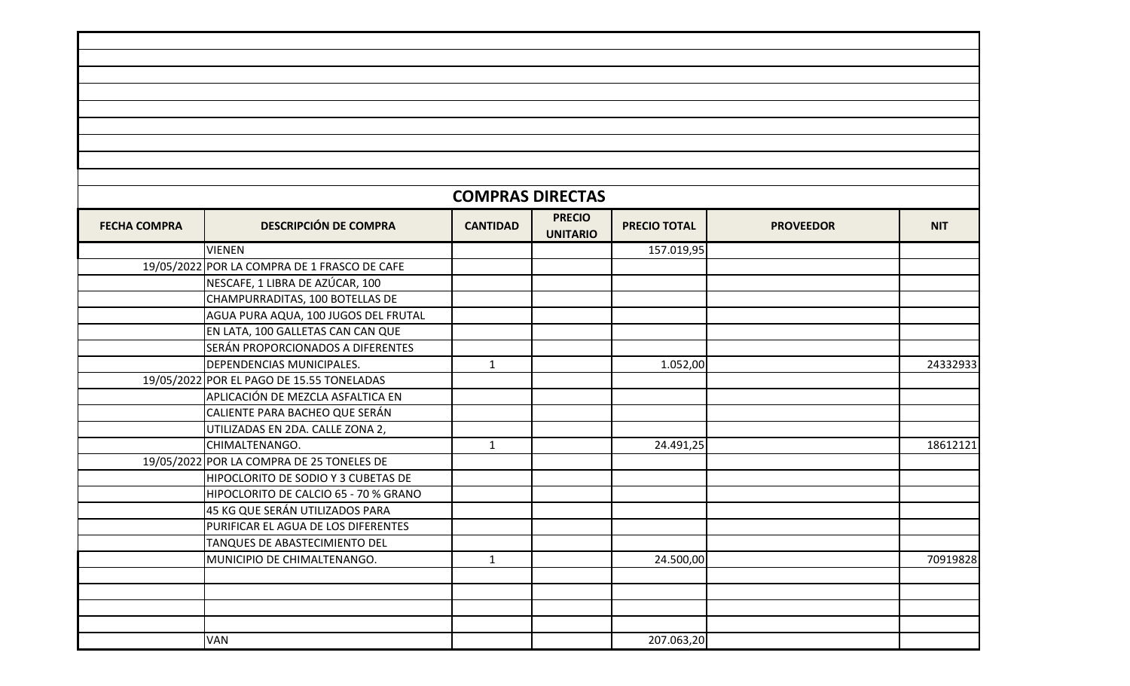|                     |                                              | <b>COMPRAS DIRECTAS</b> |                                  |                     |                  |            |
|---------------------|----------------------------------------------|-------------------------|----------------------------------|---------------------|------------------|------------|
| <b>FECHA COMPRA</b> | <b>DESCRIPCIÓN DE COMPRA</b>                 | <b>CANTIDAD</b>         | <b>PRECIO</b><br><b>UNITARIO</b> | <b>PRECIO TOTAL</b> | <b>PROVEEDOR</b> | <b>NIT</b> |
|                     | <b>VIENEN</b>                                |                         |                                  | 157.019,95          |                  |            |
|                     | 19/05/2022 POR LA COMPRA DE 1 FRASCO DE CAFE |                         |                                  |                     |                  |            |
|                     | NESCAFE, 1 LIBRA DE AZÚCAR, 100              |                         |                                  |                     |                  |            |
|                     | CHAMPURRADITAS, 100 BOTELLAS DE              |                         |                                  |                     |                  |            |
|                     | AGUA PURA AQUA, 100 JUGOS DEL FRUTAL         |                         |                                  |                     |                  |            |
|                     | EN LATA, 100 GALLETAS CAN CAN QUE            |                         |                                  |                     |                  |            |
|                     | SERÁN PROPORCIONADOS A DIFERENTES            |                         |                                  |                     |                  |            |
|                     | DEPENDENCIAS MUNICIPALES.                    | $\mathbf{1}$            |                                  | 1.052,00            |                  | 24332933   |
|                     | 19/05/2022 POR EL PAGO DE 15.55 TONELADAS    |                         |                                  |                     |                  |            |
|                     | APLICACIÓN DE MEZCLA ASFALTICA EN            |                         |                                  |                     |                  |            |
|                     | CALIENTE PARA BACHEO QUE SERÁN               |                         |                                  |                     |                  |            |
|                     | UTILIZADAS EN 2DA. CALLE ZONA 2,             |                         |                                  |                     |                  |            |
|                     | CHIMALTENANGO.                               | $\mathbf{1}$            |                                  | 24.491,25           |                  | 18612121   |
|                     | 19/05/2022 POR LA COMPRA DE 25 TONELES DE    |                         |                                  |                     |                  |            |
|                     | HIPOCLORITO DE SODIO Y 3 CUBETAS DE          |                         |                                  |                     |                  |            |
|                     | HIPOCLORITO DE CALCIO 65 - 70 % GRANO        |                         |                                  |                     |                  |            |
|                     | 45 KG QUE SERÁN UTILIZADOS PARA              |                         |                                  |                     |                  |            |
|                     | PURIFICAR EL AGUA DE LOS DIFERENTES          |                         |                                  |                     |                  |            |
|                     | TANQUES DE ABASTECIMIENTO DEL                |                         |                                  |                     |                  |            |
|                     | MUNICIPIO DE CHIMALTENANGO.                  | $\mathbf{1}$            |                                  | 24.500,00           |                  | 70919828   |
|                     |                                              |                         |                                  |                     |                  |            |
|                     |                                              |                         |                                  |                     |                  |            |
|                     |                                              |                         |                                  |                     |                  |            |
|                     |                                              |                         |                                  |                     |                  |            |
|                     | VAN                                          |                         |                                  | 207.063,20          |                  |            |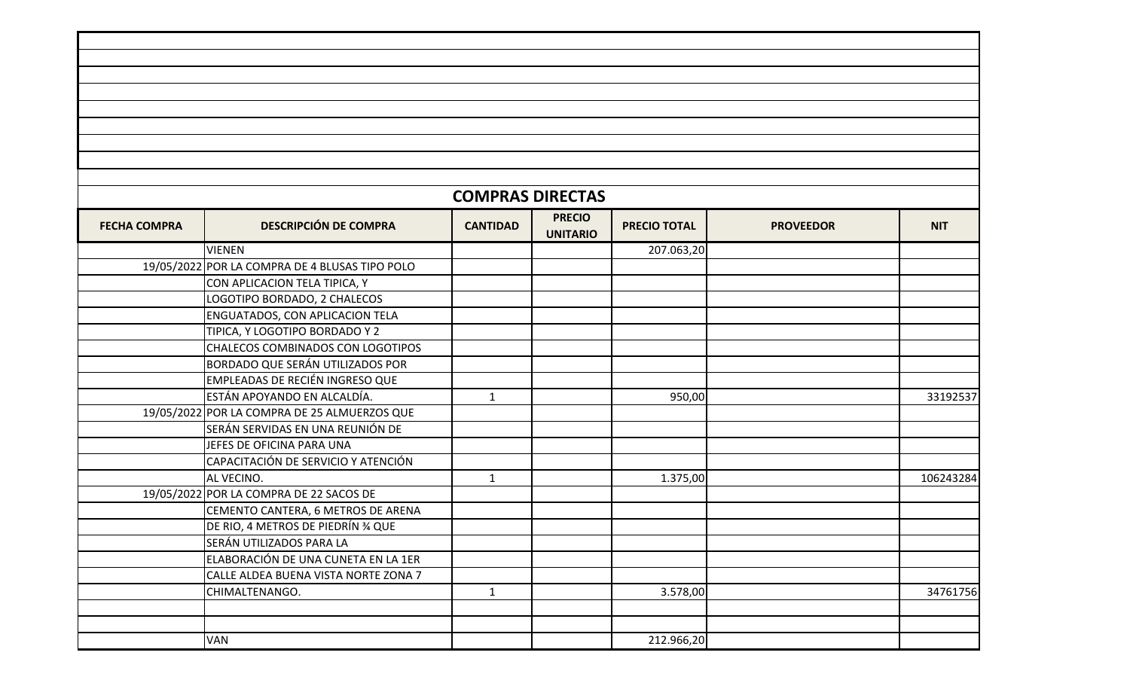|                     |                                                | <b>COMPRAS DIRECTAS</b> |                                  |                     |                  |            |
|---------------------|------------------------------------------------|-------------------------|----------------------------------|---------------------|------------------|------------|
| <b>FECHA COMPRA</b> | <b>DESCRIPCIÓN DE COMPRA</b>                   | <b>CANTIDAD</b>         | <b>PRECIO</b><br><b>UNITARIO</b> | <b>PRECIO TOTAL</b> | <b>PROVEEDOR</b> | <b>NIT</b> |
|                     | <b>VIENEN</b>                                  |                         |                                  | 207.063,20          |                  |            |
|                     | 19/05/2022 POR LA COMPRA DE 4 BLUSAS TIPO POLO |                         |                                  |                     |                  |            |
|                     | CON APLICACION TELA TIPICA, Y                  |                         |                                  |                     |                  |            |
|                     | LOGOTIPO BORDADO, 2 CHALECOS                   |                         |                                  |                     |                  |            |
|                     | ENGUATADOS, CON APLICACION TELA                |                         |                                  |                     |                  |            |
|                     | TIPICA, Y LOGOTIPO BORDADO Y 2                 |                         |                                  |                     |                  |            |
|                     | CHALECOS COMBINADOS CON LOGOTIPOS              |                         |                                  |                     |                  |            |
|                     | BORDADO QUE SERÁN UTILIZADOS POR               |                         |                                  |                     |                  |            |
|                     | EMPLEADAS DE RECIÉN INGRESO QUE                |                         |                                  |                     |                  |            |
|                     | ESTÁN APOYANDO EN ALCALDÍA.                    | $\mathbf{1}$            |                                  | 950,00              |                  | 33192537   |
|                     | 19/05/2022 POR LA COMPRA DE 25 ALMUERZOS QUE   |                         |                                  |                     |                  |            |
|                     | SERÁN SERVIDAS EN UNA REUNIÓN DE               |                         |                                  |                     |                  |            |
|                     | JEFES DE OFICINA PARA UNA                      |                         |                                  |                     |                  |            |
|                     | CAPACITACIÓN DE SERVICIO Y ATENCIÓN            |                         |                                  |                     |                  |            |
|                     | AL VECINO.                                     | $\mathbf{1}$            |                                  | 1.375,00            |                  | 106243284  |
|                     | 19/05/2022 POR LA COMPRA DE 22 SACOS DE        |                         |                                  |                     |                  |            |
|                     | CEMENTO CANTERA, 6 METROS DE ARENA             |                         |                                  |                     |                  |            |
|                     | DE RIO, 4 METROS DE PIEDRÍN % QUE              |                         |                                  |                     |                  |            |
|                     | SERÁN UTILIZADOS PARA LA                       |                         |                                  |                     |                  |            |
|                     | ELABORACIÓN DE UNA CUNETA EN LA 1ER            |                         |                                  |                     |                  |            |
|                     | CALLE ALDEA BUENA VISTA NORTE ZONA 7           |                         |                                  |                     |                  |            |
|                     | CHIMALTENANGO.                                 | $\mathbf{1}$            |                                  | 3.578,00            |                  | 34761756   |
|                     |                                                |                         |                                  |                     |                  |            |
|                     |                                                |                         |                                  |                     |                  |            |
|                     | VAN                                            |                         |                                  | 212.966,20          |                  |            |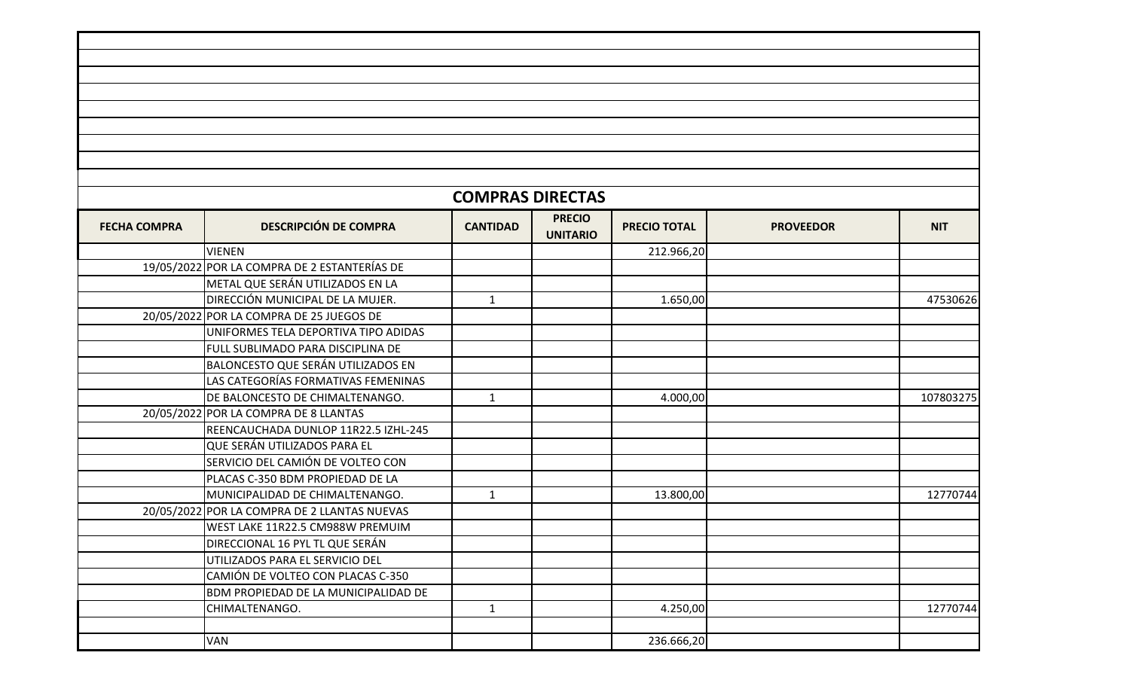|                     |                                              | <b>COMPRAS DIRECTAS</b> |                                  |                     |                  |            |
|---------------------|----------------------------------------------|-------------------------|----------------------------------|---------------------|------------------|------------|
| <b>FECHA COMPRA</b> | <b>DESCRIPCIÓN DE COMPRA</b>                 | <b>CANTIDAD</b>         | <b>PRECIO</b><br><b>UNITARIO</b> | <b>PRECIO TOTAL</b> | <b>PROVEEDOR</b> | <b>NIT</b> |
|                     | <b>VIENEN</b>                                |                         |                                  | 212.966,20          |                  |            |
|                     | 19/05/2022 POR LA COMPRA DE 2 ESTANTERÍAS DE |                         |                                  |                     |                  |            |
|                     | METAL QUE SERÁN UTILIZADOS EN LA             |                         |                                  |                     |                  |            |
|                     | DIRECCIÓN MUNICIPAL DE LA MUJER.             | $\mathbf{1}$            |                                  | 1.650,00            |                  | 47530626   |
|                     | 20/05/2022 POR LA COMPRA DE 25 JUEGOS DE     |                         |                                  |                     |                  |            |
|                     | UNIFORMES TELA DEPORTIVA TIPO ADIDAS         |                         |                                  |                     |                  |            |
|                     | FULL SUBLIMADO PARA DISCIPLINA DE            |                         |                                  |                     |                  |            |
|                     | BALONCESTO QUE SERÁN UTILIZADOS EN           |                         |                                  |                     |                  |            |
|                     | LAS CATEGORÍAS FORMATIVAS FEMENINAS          |                         |                                  |                     |                  |            |
|                     | DE BALONCESTO DE CHIMALTENANGO.              | $\mathbf{1}$            |                                  | 4.000,00            |                  | 107803275  |
|                     | 20/05/2022 POR LA COMPRA DE 8 LLANTAS        |                         |                                  |                     |                  |            |
|                     | REENCAUCHADA DUNLOP 11R22.5 IZHL-245         |                         |                                  |                     |                  |            |
|                     | QUE SERÁN UTILIZADOS PARA EL                 |                         |                                  |                     |                  |            |
|                     | SERVICIO DEL CAMIÓN DE VOLTEO CON            |                         |                                  |                     |                  |            |
|                     | PLACAS C-350 BDM PROPIEDAD DE LA             |                         |                                  |                     |                  |            |
|                     | MUNICIPALIDAD DE CHIMALTENANGO.              | $\mathbf{1}$            |                                  | 13.800,00           |                  | 12770744   |
|                     | 20/05/2022 POR LA COMPRA DE 2 LLANTAS NUEVAS |                         |                                  |                     |                  |            |
|                     | WEST LAKE 11R22.5 CM988W PREMUIM             |                         |                                  |                     |                  |            |
|                     | DIRECCIONAL 16 PYL TL QUE SERÁN              |                         |                                  |                     |                  |            |
|                     | UTILIZADOS PARA EL SERVICIO DEL              |                         |                                  |                     |                  |            |
|                     | CAMIÓN DE VOLTEO CON PLACAS C-350            |                         |                                  |                     |                  |            |
|                     | BDM PROPIEDAD DE LA MUNICIPALIDAD DE         |                         |                                  |                     |                  |            |
|                     | CHIMALTENANGO.                               | $\mathbf{1}$            |                                  | 4.250,00            |                  | 12770744   |
|                     |                                              |                         |                                  |                     |                  |            |
|                     | VAN                                          |                         |                                  | 236.666,20          |                  |            |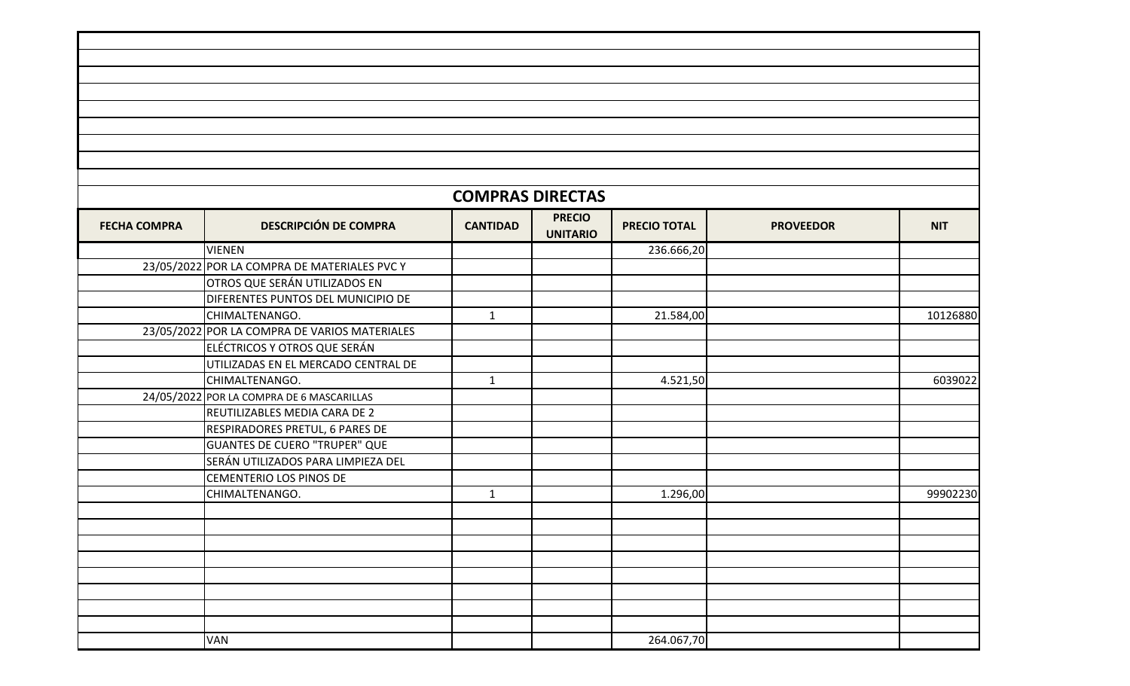|                     |                                               | <b>COMPRAS DIRECTAS</b> |                                  |                     |                  |            |
|---------------------|-----------------------------------------------|-------------------------|----------------------------------|---------------------|------------------|------------|
| <b>FECHA COMPRA</b> | <b>DESCRIPCIÓN DE COMPRA</b>                  | <b>CANTIDAD</b>         | <b>PRECIO</b><br><b>UNITARIO</b> | <b>PRECIO TOTAL</b> | <b>PROVEEDOR</b> | <b>NIT</b> |
|                     | <b>VIENEN</b>                                 |                         |                                  | 236.666,20          |                  |            |
|                     | 23/05/2022 POR LA COMPRA DE MATERIALES PVC Y  |                         |                                  |                     |                  |            |
|                     | OTROS QUE SERÁN UTILIZADOS EN                 |                         |                                  |                     |                  |            |
|                     | DIFERENTES PUNTOS DEL MUNICIPIO DE            |                         |                                  |                     |                  |            |
|                     | CHIMALTENANGO.                                | $\mathbf{1}$            |                                  | 21.584,00           |                  | 10126880   |
|                     | 23/05/2022 POR LA COMPRA DE VARIOS MATERIALES |                         |                                  |                     |                  |            |
|                     | ELÉCTRICOS Y OTROS QUE SERÁN                  |                         |                                  |                     |                  |            |
|                     | UTILIZADAS EN EL MERCADO CENTRAL DE           |                         |                                  |                     |                  |            |
|                     | CHIMALTENANGO.                                | $\mathbf{1}$            |                                  | 4.521,50            |                  | 6039022    |
|                     | 24/05/2022 POR LA COMPRA DE 6 MASCARILLAS     |                         |                                  |                     |                  |            |
|                     | REUTILIZABLES MEDIA CARA DE 2                 |                         |                                  |                     |                  |            |
|                     | RESPIRADORES PRETUL, 6 PARES DE               |                         |                                  |                     |                  |            |
|                     | <b>GUANTES DE CUERO "TRUPER" QUE</b>          |                         |                                  |                     |                  |            |
|                     | SERÁN UTILIZADOS PARA LIMPIEZA DEL            |                         |                                  |                     |                  |            |
|                     | CEMENTERIO LOS PINOS DE                       |                         |                                  |                     |                  |            |
|                     | CHIMALTENANGO.                                | $\mathbf{1}$            |                                  | 1.296,00            |                  | 99902230   |
|                     |                                               |                         |                                  |                     |                  |            |
|                     |                                               |                         |                                  |                     |                  |            |
|                     |                                               |                         |                                  |                     |                  |            |
|                     |                                               |                         |                                  |                     |                  |            |
|                     |                                               |                         |                                  |                     |                  |            |
|                     |                                               |                         |                                  |                     |                  |            |
|                     |                                               |                         |                                  |                     |                  |            |
|                     |                                               |                         |                                  |                     |                  |            |
|                     | <b>VAN</b>                                    |                         |                                  | 264.067,70          |                  |            |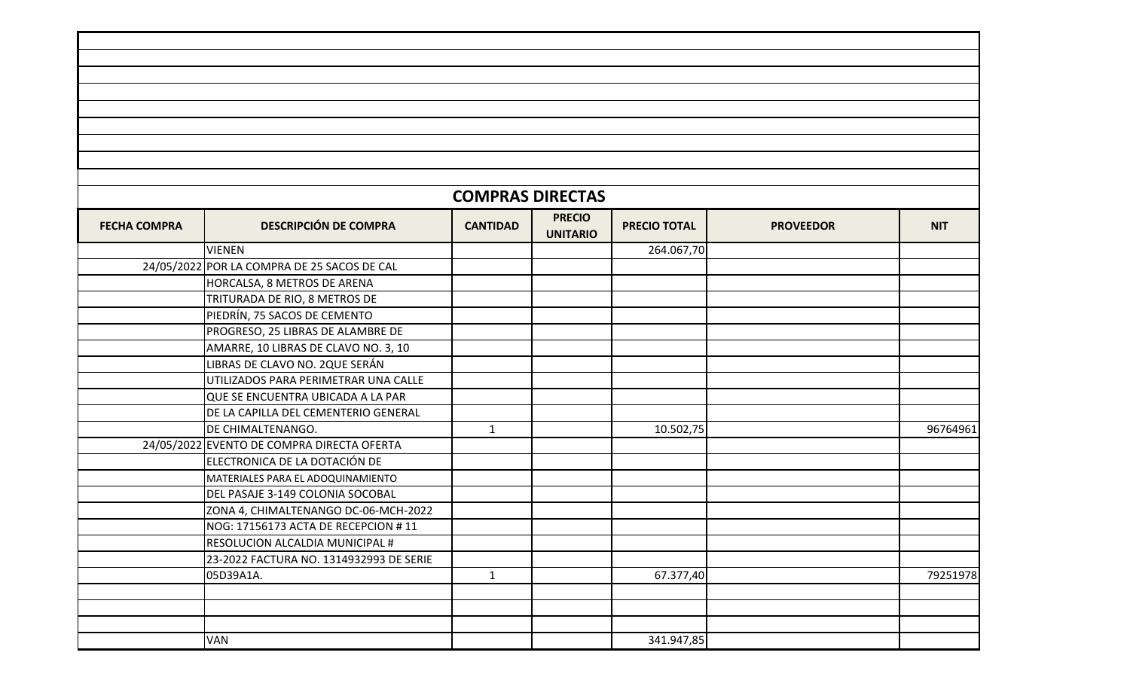|                     |                                             | <b>COMPRAS DIRECTAS</b> |                                  |                     |                  |            |
|---------------------|---------------------------------------------|-------------------------|----------------------------------|---------------------|------------------|------------|
| <b>FECHA COMPRA</b> | <b>DESCRIPCIÓN DE COMPRA</b>                | <b>CANTIDAD</b>         | <b>PRECIO</b><br><b>UNITARIO</b> | <b>PRECIO TOTAL</b> | <b>PROVEEDOR</b> | <b>NIT</b> |
|                     | <b>VIENEN</b>                               |                         |                                  | 264.067,70          |                  |            |
|                     | 24/05/2022 POR LA COMPRA DE 25 SACOS DE CAL |                         |                                  |                     |                  |            |
|                     | HORCALSA, 8 METROS DE ARENA                 |                         |                                  |                     |                  |            |
|                     | TRITURADA DE RIO, 8 METROS DE               |                         |                                  |                     |                  |            |
|                     | PIEDRÍN, 75 SACOS DE CEMENTO                |                         |                                  |                     |                  |            |
|                     | PROGRESO, 25 LIBRAS DE ALAMBRE DE           |                         |                                  |                     |                  |            |
|                     | AMARRE, 10 LIBRAS DE CLAVO NO. 3, 10        |                         |                                  |                     |                  |            |
|                     | LIBRAS DE CLAVO NO. 2QUE SERÁN              |                         |                                  |                     |                  |            |
|                     | UTILIZADOS PARA PERIMETRAR UNA CALLE        |                         |                                  |                     |                  |            |
|                     | QUE SE ENCUENTRA UBICADA A LA PAR           |                         |                                  |                     |                  |            |
|                     | DE LA CAPILLA DEL CEMENTERIO GENERAL        |                         |                                  |                     |                  |            |
|                     | DE CHIMALTENANGO.                           | $\mathbf{1}$            |                                  | 10.502,75           |                  | 96764961   |
|                     | 24/05/2022 EVENTO DE COMPRA DIRECTA OFERTA  |                         |                                  |                     |                  |            |
|                     | ELECTRONICA DE LA DOTACIÓN DE               |                         |                                  |                     |                  |            |
|                     | MATERIALES PARA EL ADOQUINAMIENTO           |                         |                                  |                     |                  |            |
|                     | DEL PASAJE 3-149 COLONIA SOCOBAL            |                         |                                  |                     |                  |            |
|                     | ZONA 4, CHIMALTENANGO DC-06-MCH-2022        |                         |                                  |                     |                  |            |
|                     | NOG: 17156173 ACTA DE RECEPCION #11         |                         |                                  |                     |                  |            |
|                     | RESOLUCION ALCALDIA MUNICIPAL #             |                         |                                  |                     |                  |            |
|                     | 23-2022 FACTURA NO. 1314932993 DE SERIE     |                         |                                  |                     |                  |            |
|                     | 05D39A1A.                                   | $\mathbf{1}$            |                                  | 67.377,40           |                  | 79251978   |
|                     |                                             |                         |                                  |                     |                  |            |
|                     |                                             |                         |                                  |                     |                  |            |
|                     |                                             |                         |                                  |                     |                  |            |
|                     | <b>VAN</b>                                  |                         |                                  | 341.947,85          |                  |            |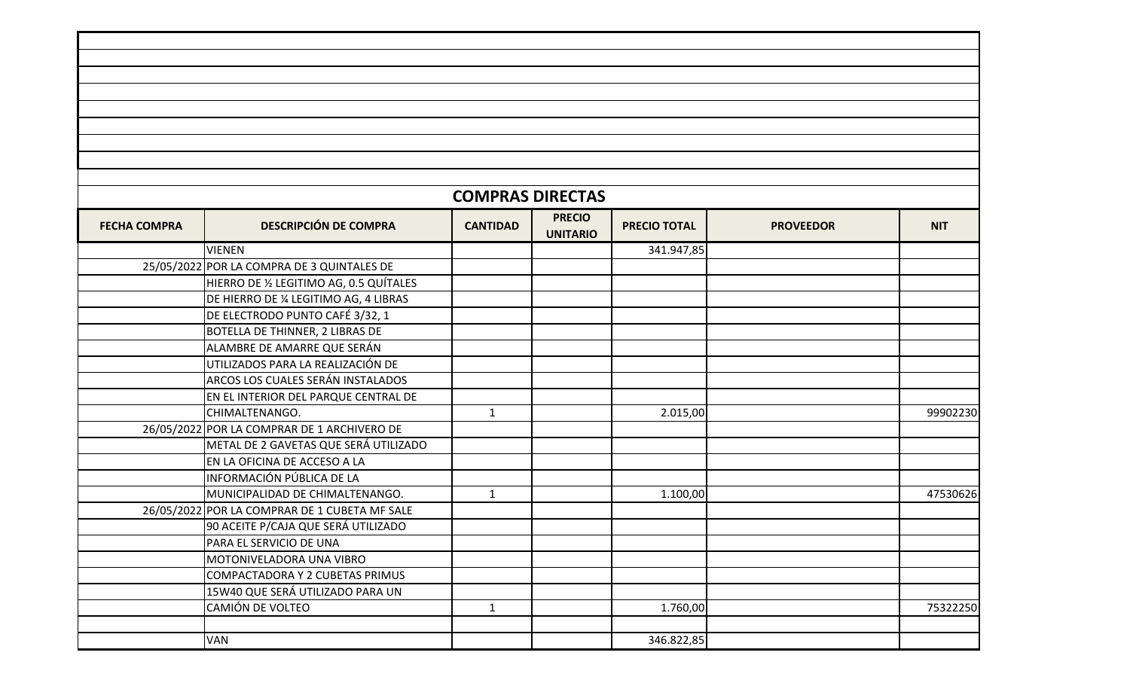|                                                                                                                                                       |                                               | <b>COMPRAS DIRECTAS</b> |  |            |  |            |
|-------------------------------------------------------------------------------------------------------------------------------------------------------|-----------------------------------------------|-------------------------|--|------------|--|------------|
| <b>PRECIO</b><br><b>DESCRIPCIÓN DE COMPRA</b><br><b>FECHA COMPRA</b><br><b>CANTIDAD</b><br><b>PRECIO TOTAL</b><br><b>PROVEEDOR</b><br><b>UNITARIO</b> |                                               |                         |  |            |  | <b>NIT</b> |
|                                                                                                                                                       | <b>VIENEN</b>                                 |                         |  | 341.947,85 |  |            |
|                                                                                                                                                       | 25/05/2022 POR LA COMPRA DE 3 QUINTALES DE    |                         |  |            |  |            |
|                                                                                                                                                       | HIERRO DE 1/2 LEGITIMO AG, 0.5 QUÍTALES       |                         |  |            |  |            |
|                                                                                                                                                       | DE HIERRO DE ¼ LEGITIMO AG, 4 LIBRAS          |                         |  |            |  |            |
|                                                                                                                                                       | DE ELECTRODO PUNTO CAFÉ 3/32, 1               |                         |  |            |  |            |
|                                                                                                                                                       | <b>BOTELLA DE THINNER, 2 LIBRAS DE</b>        |                         |  |            |  |            |
|                                                                                                                                                       | ALAMBRE DE AMARRE QUE SERÁN                   |                         |  |            |  |            |
|                                                                                                                                                       | UTILIZADOS PARA LA REALIZACIÓN DE             |                         |  |            |  |            |
|                                                                                                                                                       | ARCOS LOS CUALES SERÁN INSTALADOS             |                         |  |            |  |            |
|                                                                                                                                                       | EN EL INTERIOR DEL PARQUE CENTRAL DE          |                         |  |            |  |            |
|                                                                                                                                                       | CHIMALTENANGO.                                | $\mathbf{1}$            |  | 2.015,00   |  | 99902230   |
|                                                                                                                                                       | 26/05/2022 POR LA COMPRAR DE 1 ARCHIVERO DE   |                         |  |            |  |            |
|                                                                                                                                                       | METAL DE 2 GAVETAS QUE SERÁ UTILIZADO         |                         |  |            |  |            |
|                                                                                                                                                       | EN LA OFICINA DE ACCESO A LA                  |                         |  |            |  |            |
|                                                                                                                                                       | INFORMACIÓN PÚBLICA DE LA                     |                         |  |            |  |            |
|                                                                                                                                                       | MUNICIPALIDAD DE CHIMALTENANGO.               | $\mathbf{1}$            |  | 1.100,00   |  | 47530626   |
|                                                                                                                                                       | 26/05/2022 POR LA COMPRAR DE 1 CUBETA MF SALE |                         |  |            |  |            |
|                                                                                                                                                       | 90 ACEITE P/CAJA QUE SERÁ UTILIZADO           |                         |  |            |  |            |
|                                                                                                                                                       | PARA EL SERVICIO DE UNA                       |                         |  |            |  |            |
|                                                                                                                                                       | MOTONIVELADORA UNA VIBRO                      |                         |  |            |  |            |
|                                                                                                                                                       | COMPACTADORA Y 2 CUBETAS PRIMUS               |                         |  |            |  |            |
|                                                                                                                                                       | 15W40 QUE SERÁ UTILIZADO PARA UN              |                         |  |            |  |            |
|                                                                                                                                                       | CAMIÓN DE VOLTEO                              | $\mathbf{1}$            |  | 1.760,00   |  | 75322250   |
|                                                                                                                                                       |                                               |                         |  |            |  |            |
|                                                                                                                                                       | VAN                                           |                         |  | 346.822,85 |  |            |